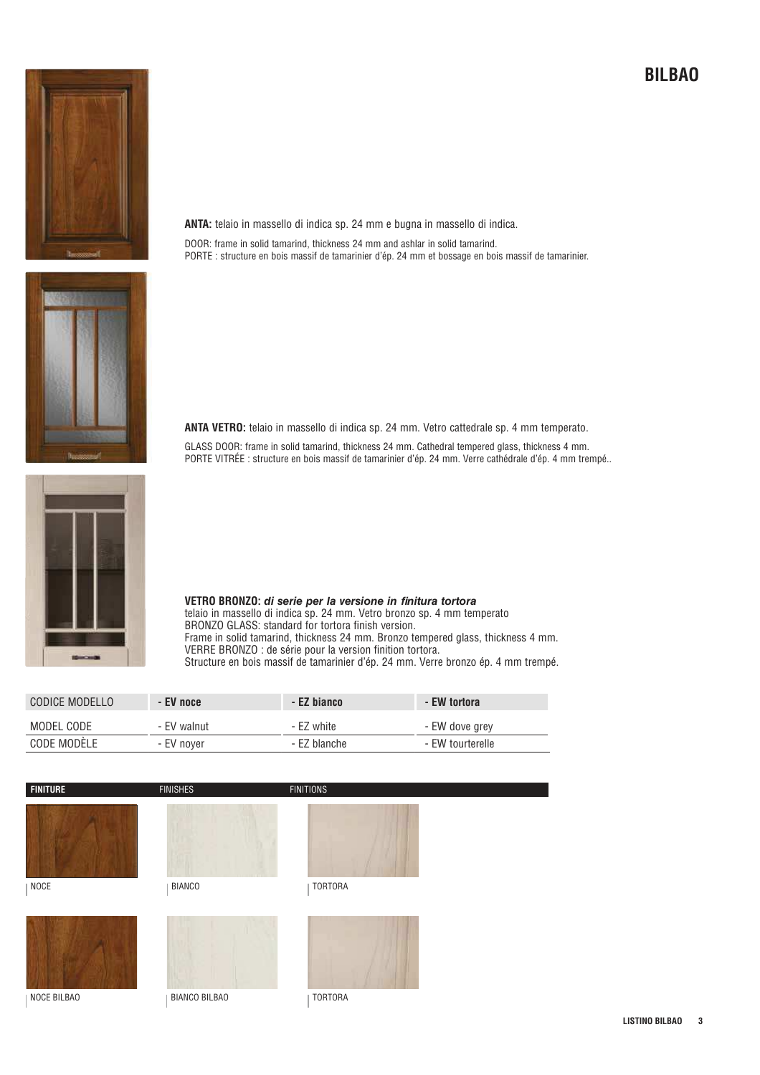

**ANTA:** telaio in massello di indica sp. 24 mm e bugna in massello di indica. DOOR: frame in solid tamarind, thickness 24 mm and ashlar in solid tamarind. PORTE : structure en bois massif de tamarinier d'ép. 24 mm et bossage en bois massif de tamarinier.

**ANTA VETRO:** telaio in massello di indica sp. 24 mm. Vetro cattedrale sp. 4 mm temperato.

GLASS DOOR: frame in solid tamarind, thickness 24 mm. Cathedral tempered glass, thickness 4 mm. PORTE VITRÉE : structure en bois massif de tamarinier d'ép. 24 mm. Verre cathédrale d'ép. 4 mm trempé..



**VETRO BRONZO: di serie per la versione in finitura tortora** telaio in massello di indica sp. 24 mm. Vetro bronzo sp. 4 mm temperato BRONZO GLASS: standard for tortora finish version. Frame in solid tamarind, thickness 24 mm. Bronzo tempered glass, thickness 4 mm. VERRE BRONZO : de série pour la version finition tortora. Structure en bois massif de tamarinier d'ép. 24 mm. Verre bronzo ép. 4 mm trempé.

| CODICE MODELLO | - EV noce   | - EZ bianco  | - EW tortora     |
|----------------|-------------|--------------|------------------|
| MODEL CODE     | - FV walnut | - F7 white   | - EW dove grev   |
| CODE MODÉLE    | - EV nover  | - EZ blanche | - EW tourterelle |